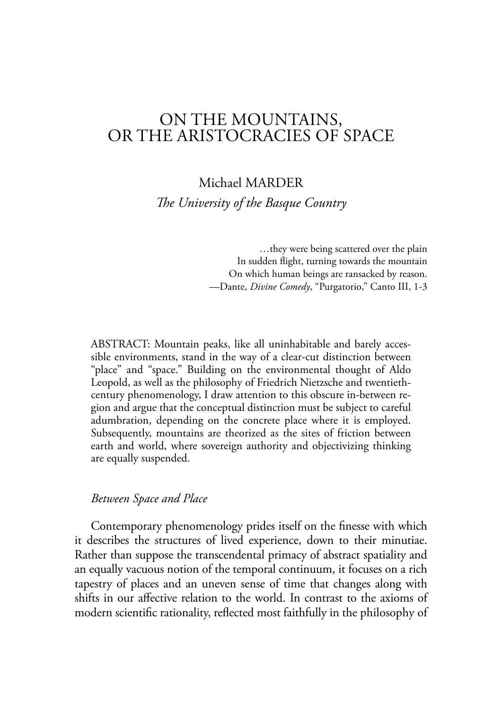# ON THE MOUNTAINS, OR THE ARISTOCRACIES OF SPACE

Michael MARDER *The University of the Basque Country* 

> …they were being scattered over the plain In sudden flight, turning towards the mountain On which human beings are ransacked by reason. —Dante, *Divine Comedy*, "Purgatorio," Canto III, 1-3

ABSTRACT: Mountain peaks, like all uninhabitable and barely accessible environments, stand in the way of a clear-cut distinction between "place" and "space." Building on the environmental thought of Aldo Leopold, as well as the philosophy of Friedrich Nietzsche and twentiethcentury phenomenology, I draw attention to this obscure in-between region and argue that the conceptual distinction must be subject to careful adumbration, depending on the concrete place where it is employed. Subsequently, mountains are theorized as the sites of friction between earth and world, where sovereign authority and objectivizing thinking are equally suspended.

# *Between Space and Place*

Contemporary phenomenology prides itself on the finesse with which it describes the structures of lived experience, down to their minutiae. Rather than suppose the transcendental primacy of abstract spatiality and an equally vacuous notion of the temporal continuum, it focuses on a rich tapestry of places and an uneven sense of time that changes along with shifts in our affective relation to the world. In contrast to the axioms of modern scientific rationality, reflected most faithfully in the philosophy of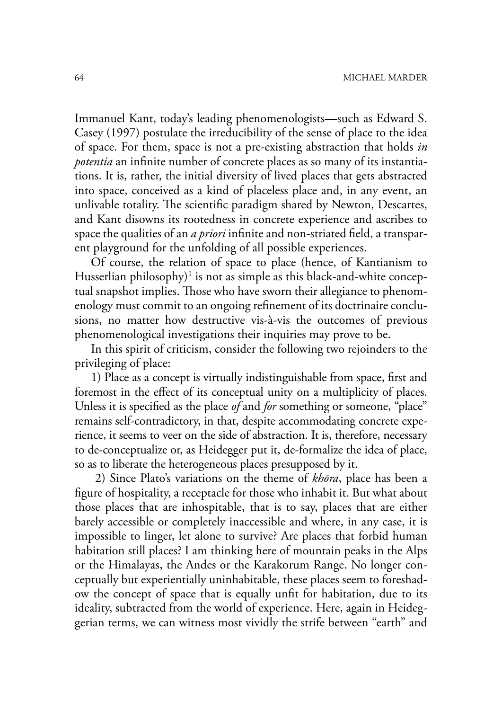Immanuel Kant, today's leading phenomenologists—such as Edward S. Casey (1997) postulate the irreducibility of the sense of place to the idea of space. For them, space is not a pre-existing abstraction that holds *in potentia* an infinite number of concrete places as so many of its instantiations. It is, rather, the initial diversity of lived places that gets abstracted into space, conceived as a kind of placeless place and, in any event, an unlivable totality. The scientific paradigm shared by Newton, Descartes, and Kant disowns its rootedness in concrete experience and ascribes to space the qualities of an *a priori* infinite and non-striated field, a transparent playground for the unfolding of all possible experiences.

Of course, the relation of space to place (hence, of Kantianism to Husserlian philosophy)<sup>1</sup> is not as simple as this black-and-white conceptual snapshot implies. Those who have sworn their allegiance to phenomenology must commit to an ongoing refinement of its doctrinaire conclusions, no matter how destructive vis-à-vis the outcomes of previous phenomenological investigations their inquiries may prove to be.

In this spirit of criticism, consider the following two rejoinders to the privileging of place:

1) Place as a concept is virtually indistinguishable from space, first and foremost in the effect of its conceptual unity on a multiplicity of places. Unless it is specified as the place *of* and *for* something or someone, "place" remains self-contradictory, in that, despite accommodating concrete experience, it seems to veer on the side of abstraction. It is, therefore, necessary to de-conceptualize or, as Heidegger put it, de-formalize the idea of place, so as to liberate the heterogeneous places presupposed by it.

 2) Since Plato's variations on the theme of *khōra*, place has been a figure of hospitality, a receptacle for those who inhabit it. But what about those places that are inhospitable, that is to say, places that are either barely accessible or completely inaccessible and where, in any case, it is impossible to linger, let alone to survive? Are places that forbid human habitation still places? I am thinking here of mountain peaks in the Alps or the Himalayas, the Andes or the Karakorum Range. No longer conceptually but experientially uninhabitable, these places seem to foreshadow the concept of space that is equally unfit for habitation, due to its ideality, subtracted from the world of experience. Here, again in Heideggerian terms, we can witness most vividly the strife between "earth" and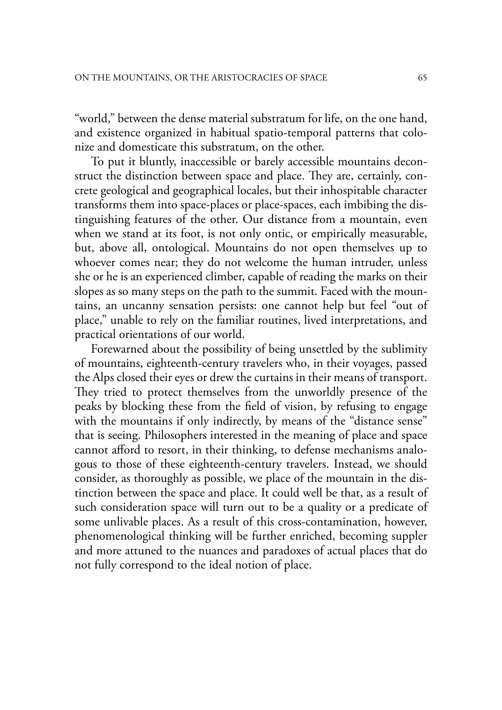"world," between the dense material substratum for life, on the one hand, and existence organized in habitual spatio-temporal patterns that colonize and domesticate this substratum, on the other.

To put it bluntly, inaccessible or barely accessible mountains deconstruct the distinction between space and place. They are, certainly, concrete geological and geographical locales, but their inhospitable character transforms them into space-places or place-spaces, each imbibing the distinguishing features of the other. Our distance from a mountain, even when we stand at its foot, is not only ontic, or empirically measurable, but, above all, ontological. Mountains do not open themselves up to whoever comes near; they do not welcome the human intruder, unless she or he is an experienced climber, capable of reading the marks on their slopes as so many steps on the path to the summit. Faced with the mountains, an uncanny sensation persists: one cannot help but feel "out of place," unable to rely on the familiar routines, lived interpretations, and practical orientations of our world.

Forewarned about the possibility of being unsettled by the sublimity of mountains, eighteenth-century travelers who, in their voyages, passed the Alps closed their eyes or drew the curtains in their means of transport. They tried to protect themselves from the unworldly presence of the peaks by blocking these from the field of vision, by refusing to engage with the mountains if only indirectly, by means of the "distance sense" that is seeing. Philosophers interested in the meaning of place and space cannot afford to resort, in their thinking, to defense mechanisms analogous to those of these eighteenth-century travelers. Instead, we should consider, as thoroughly as possible, we place of the mountain in the distinction between the space and place. It could well be that, as a result of such consideration space will turn out to be a quality or a predicate of some unlivable places. As a result of this cross-contamination, however, phenomenological thinking will be further enriched, becoming suppler and more attuned to the nuances and paradoxes of actual places that do not fully correspond to the ideal notion of place.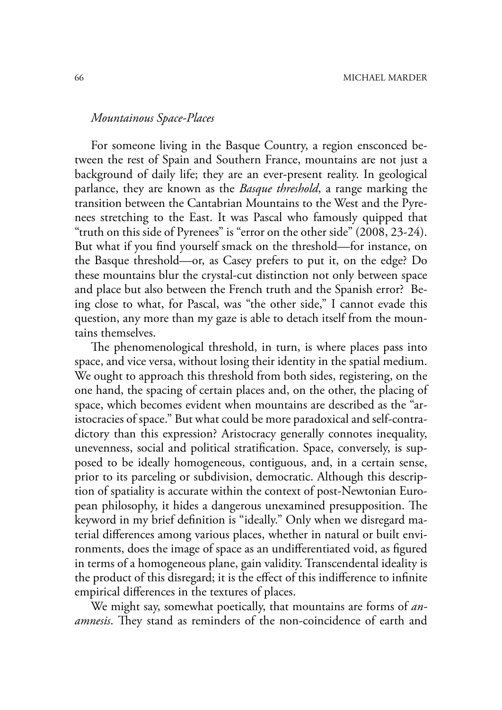# *Mountainous Space-Places*

For someone living in the Basque Country, a region ensconced between the rest of Spain and Southern France, mountains are not just a background of daily life; they are an ever-present reality. In geological parlance, they are known as the *Basque threshold*, a range marking the transition between the Cantabrian Mountains to the West and the Pyrenees stretching to the East. It was Pascal who famously quipped that "truth on this side of Pyrenees" is "error on the other side" (2008, 23-24). But what if you find yourself smack on the threshold—for instance, on the Basque threshold—or, as Casey prefers to put it, on the edge? Do these mountains blur the crystal-cut distinction not only between space and place but also between the French truth and the Spanish error? Being close to what, for Pascal, was "the other side," I cannot evade this question, any more than my gaze is able to detach itself from the mountains themselves.

The phenomenological threshold, in turn, is where places pass into space, and vice versa, without losing their identity in the spatial medium. We ought to approach this threshold from both sides, registering, on the one hand, the spacing of certain places and, on the other, the placing of space, which becomes evident when mountains are described as the "aristocracies of space." But what could be more paradoxical and self-contradictory than this expression? Aristocracy generally connotes inequality, unevenness, social and political stratification. Space, conversely, is supposed to be ideally homogeneous, contiguous, and, in a certain sense, prior to its parceling or subdivision, democratic. Although this description of spatiality is accurate within the context of post-Newtonian European philosophy, it hides a dangerous unexamined presupposition. The keyword in my brief definition is "ideally." Only when we disregard material differences among various places, whether in natural or built environments, does the image of space as an undifferentiated void, as figured in terms of a homogeneous plane, gain validity. Transcendental ideality is the product of this disregard; it is the effect of this indifference to infinite empirical differences in the textures of places.

We might say, somewhat poetically, that mountains are forms of *anamnesis*. They stand as reminders of the non-coincidence of earth and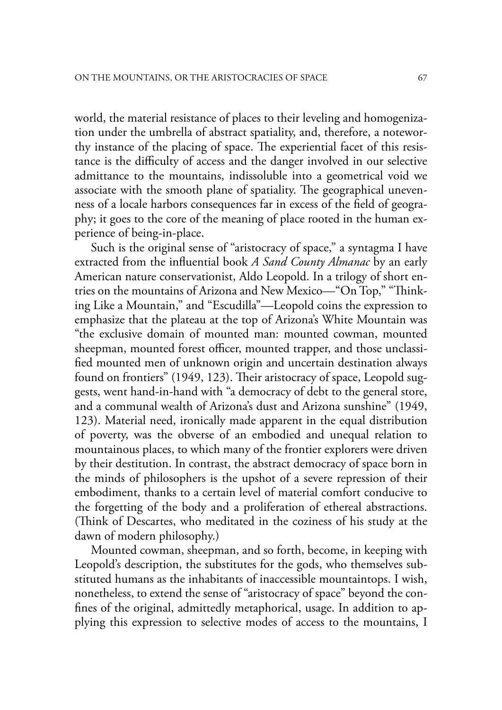world, the material resistance of places to their leveling and homogenization under the umbrella of abstract spatiality, and, therefore, a noteworthy instance of the placing of space. The experiential facet of this resistance is the difficulty of access and the danger involved in our selective admittance to the mountains, indissoluble into a geometrical void we associate with the smooth plane of spatiality. The geographical unevenness of a locale harbors consequences far in excess of the field of geography; it goes to the core of the meaning of place rooted in the human experience of being-in-place.

Such is the original sense of "aristocracy of space," a syntagma I have extracted from the influential book *A Sand County Almanac* by an early American nature conservationist, Aldo Leopold. In a trilogy of short entries on the mountains of Arizona and New Mexico—"On Top," "Thinking Like a Mountain," and "Escudilla"—Leopold coins the expression to emphasize that the plateau at the top of Arizona's White Mountain was "the exclusive domain of mounted man: mounted cowman, mounted sheepman, mounted forest officer, mounted trapper, and those unclassified mounted men of unknown origin and uncertain destination always found on frontiers" (1949, 123). Their aristocracy of space, Leopold suggests, went hand-in-hand with "a democracy of debt to the general store, and a communal wealth of Arizona's dust and Arizona sunshine" (1949, 123). Material need, ironically made apparent in the equal distribution of poverty, was the obverse of an embodied and unequal relation to mountainous places, to which many of the frontier explorers were driven by their destitution. In contrast, the abstract democracy of space born in the minds of philosophers is the upshot of a severe repression of their embodiment, thanks to a certain level of material comfort conducive to the forgetting of the body and a proliferation of ethereal abstractions. (Think of Descartes, who meditated in the coziness of his study at the dawn of modern philosophy.)

Mounted cowman, sheepman, and so forth, become, in keeping with Leopold's description, the substitutes for the gods, who themselves substituted humans as the inhabitants of inaccessible mountaintops. I wish, nonetheless, to extend the sense of "aristocracy of space" beyond the con fines of the original, admittedly metaphorical, usage. In addition to applying this expression to selective modes of access to the mountains, I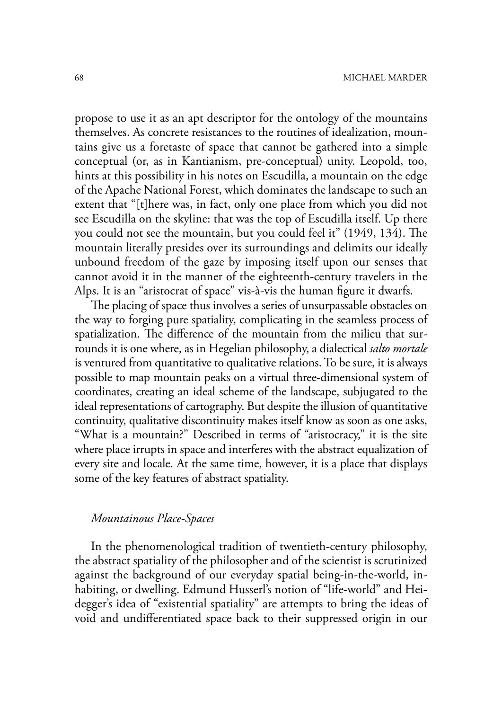propose to use it as an apt descriptor for the ontology of the mountains themselves. As concrete resistances to the routines of idealization, mountains give us a foretaste of space that cannot be gathered into a simple conceptual (or, as in Kantianism, pre-conceptual) unity. Leopold, too, hints at this possibility in his notes on Escudilla, a mountain on the edge of the Apache National Forest, which dominates the landscape to such an extent that "[t]here was, in fact, only one place from which you did not see Escudilla on the skyline: that was the top of Escudilla itself. Up there you could not see the mountain, but you could feel it"  $(1949, 134)$ . The mountain literally presides over its surroundings and delimits our ideally unbound freedom of the gaze by imposing itself upon our senses that cannot avoid it in the manner of the eighteenth-century travelers in the Alps. It is an "aristocrat of space" vis-à-vis the human figure it dwarfs.

The placing of space thus involves a series of unsurpassable obstacles on the way to forging pure spatiality, complicating in the seamless process of spatialization. The difference of the mountain from the milieu that surrounds it is one where, as in Hegelian philosophy, a dialectical *salto mortale*  is ventured from quantitative to qualitative relations. To be sure, it is always possible to map mountain peaks on a virtual three-dimensional system of coordinates, creating an ideal scheme of the landscape, subjugated to the ideal representations of cartography. But despite the illusion of quantitative continuity, qualitative discontinuity makes itself know as soon as one asks, "What is a mountain?" Described in terms of "aristocracy," it is the site where place irrupts in space and interferes with the abstract equalization of every site and locale. At the same time, however, it is a place that displays some of the key features of abstract spatiality.

# *Mountainous Place-Spaces*

In the phenomenological tradition of twentieth-century philosophy, the abstract spatiality of the philosopher and of the scientist is scrutinized against the background of our everyday spatial being-in-the-world, inhabiting, or dwelling. Edmund Husserl's notion of "life-world" and Heidegger's idea of "existential spatiality" are attempts to bring the ideas of void and undifferentiated space back to their suppressed origin in our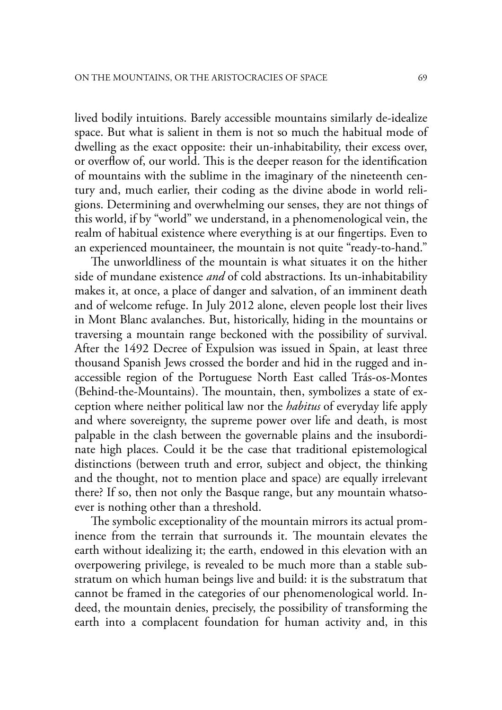lived bodily intuitions. Barely accessible mountains similarly de-idealize space. But what is salient in them is not so much the habitual mode of dwelling as the exact opposite: their un-inhabitability, their excess over, or overflow of, our world. This is the deeper reason for the identification of mountains with the sublime in the imaginary of the nineteenth century and, much earlier, their coding as the divine abode in world religions. Determining and overwhelming our senses, they are not things of this world, if by "world" we understand, in a phenomenological vein, the realm of habitual existence where everything is at our fingertips. Even to an experienced mountaineer, the mountain is not quite "ready-to-hand."

The unworldliness of the mountain is what situates it on the hither side of mundane existence *and* of cold abstractions. Its un-inhabitability makes it, at once, a place of danger and salvation, of an imminent death and of welcome refuge. In July 2012 alone, eleven people lost their lives in Mont Blanc avalanches. But, historically, hiding in the mountains or traversing a mountain range beckoned with the possibility of survival. After the 1492 Decree of Expulsion was issued in Spain, at least three thousand Spanish Jews crossed the border and hid in the rugged and inaccessible region of the Portuguese North East called Trás-os-Montes (Behind-the-Mountains). The mountain, then, symbolizes a state of exception where neither political law nor the *habitus* of everyday life apply and where sovereignty, the supreme power over life and death, is most palpable in the clash between the governable plains and the insubordinate high places. Could it be the case that traditional epistemological distinctions (between truth and error, subject and object, the thinking and the thought, not to mention place and space) are equally irrelevant there? If so, then not only the Basque range, but any mountain whatsoever is nothing other than a threshold.

The symbolic exceptionality of the mountain mirrors its actual prominence from the terrain that surrounds it. The mountain elevates the earth without idealizing it; the earth, endowed in this elevation with an overpowering privilege, is revealed to be much more than a stable substratum on which human beings live and build: it is the substratum that cannot be framed in the categories of our phenomenological world. Indeed, the mountain denies, precisely, the possibility of transforming the earth into a complacent foundation for human activity and, in this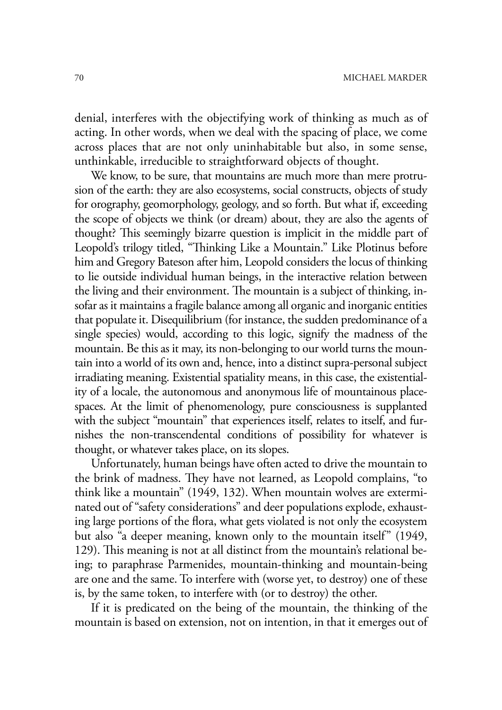denial, interferes with the objectifying work of thinking as much as of acting. In other words, when we deal with the spacing of place, we come across places that are not only uninhabitable but also, in some sense, unthinkable, irreducible to straightforward objects of thought.

We know, to be sure, that mountains are much more than mere protrusion of the earth: they are also ecosystems, social constructs, objects of study for orography, geomorphology, geology, and so forth. But what if, exceeding the scope of objects we think (or dream) about, they are also the agents of thought? This seemingly bizarre question is implicit in the middle part of Leopold's trilogy titled, "Thinking Like a Mountain." Like Plotinus before him and Gregory Bateson after him, Leopold considers the locus of thinking to lie outside individual human beings, in the interactive relation between the living and their environment. The mountain is a subject of thinking, insofar as it maintains a fragile balance among all organic and inorganic entities that populate it. Disequilibrium (for instance, the sudden predominance of a single species) would, according to this logic, signify the madness of the mountain. Be this as it may, its non-belonging to our world turns the mountain into a world of its own and, hence, into a distinct supra-personal subject irradiating meaning. Existential spatiality means, in this case, the existentiality of a locale, the autonomous and anonymous life of mountainous placespaces. At the limit of phenomenology, pure consciousness is supplanted with the subject "mountain" that experiences itself, relates to itself, and furnishes the non-transcendental conditions of possibility for whatever is thought, or whatever takes place, on its slopes.

Unfortunately, human beings have often acted to drive the mountain to the brink of madness. They have not learned, as Leopold complains, "to think like a mountain" (1949, 132). When mountain wolves are exterminated out of "safety considerations" and deer populations explode, exhausting large portions of the flora, what gets violated is not only the ecosystem but also "a deeper meaning, known only to the mountain itself" (1949, 129). This meaning is not at all distinct from the mountain's relational being; to paraphrase Parmenides, mountain-thinking and mountain-being are one and the same. To interfere with (worse yet, to destroy) one of these is, by the same token, to interfere with (or to destroy) the other.

If it is predicated on the being of the mountain, the thinking of the mountain is based on extension, not on intention, in that it emerges out of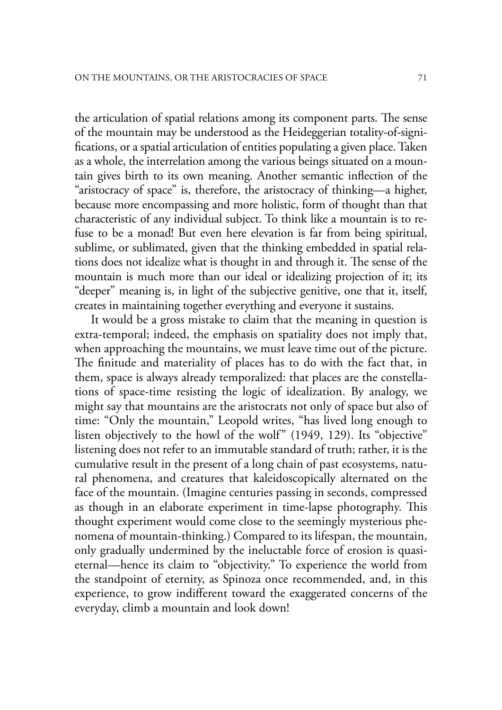the articulation of spatial relations among its component parts. The sense of the mountain may be understood as the Heideggerian totality-of-signi fications, or a spatial articulation of entities populating a given place. Taken as a whole, the interrelation among the various beings situated on a mountain gives birth to its own meaning. Another semantic inflection of the "aristocracy of space" is, therefore, the aristocracy of thinking—a higher, because more encompassing and more holistic, form of thought than that characteristic of any individual subject. To think like a mountain is to refuse to be a monad! But even here elevation is far from being spiritual, sublime, or sublimated, given that the thinking embedded in spatial relations does not idealize what is thought in and through it. The sense of the mountain is much more than our ideal or idealizing projection of it; its "deeper" meaning is, in light of the subjective genitive, one that it, itself, creates in maintaining together everything and everyone it sustains.

It would be a gross mistake to claim that the meaning in question is extra-temporal; indeed, the emphasis on spatiality does not imply that, when approaching the mountains, we must leave time out of the picture. The finitude and materiality of places has to do with the fact that, in them, space is always already temporalized: that places are the constellations of space-time resisting the logic of idealization. By analogy, we might say that mountains are the aristocrats not only of space but also of time: "Only the mountain," Leopold writes, "has lived long enough to listen objectively to the howl of the wolf" (1949, 129). Its "objective" listening does not refer to an immutable standard of truth; rather, it is the cumulative result in the present of a long chain of past ecosystems, natural phenomena, and creatures that kaleidoscopically alternated on the face of the mountain. (Imagine centuries passing in seconds, compressed as though in an elaborate experiment in time-lapse photography. This thought experiment would come close to the seemingly mysterious phenomena of mountain-thinking.) Compared to its lifespan, the mountain, only gradually undermined by the ineluctable force of erosion is quasieternal—hence its claim to "objectivity." To experience the world from the standpoint of eternity, as Spinoza once recommended, and, in this experience, to grow indifferent toward the exaggerated concerns of the everyday, climb a mountain and look down!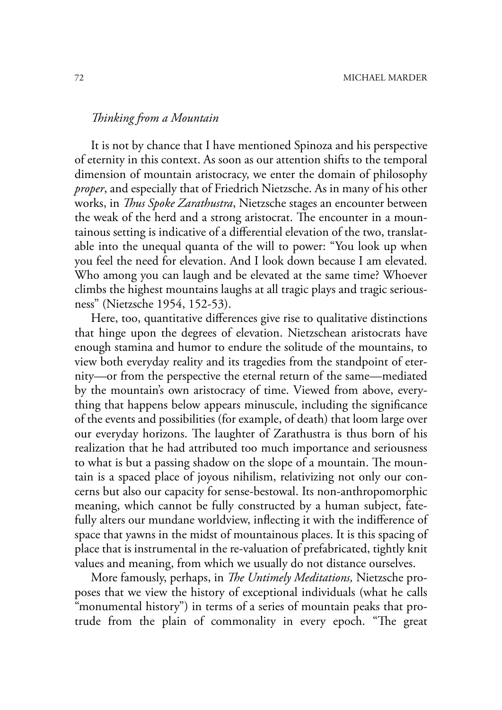# *! inking from a Mountain*

It is not by chance that I have mentioned Spinoza and his perspective of eternity in this context. As soon as our attention shifts to the temporal dimension of mountain aristocracy, we enter the domain of philosophy *proper*, and especially that of Friedrich Nietzsche. As in many of his other works, in *Thus Spoke Zarathustra*, Nietzsche stages an encounter between the weak of the herd and a strong aristocrat. The encounter in a mountainous setting is indicative of a differential elevation of the two, translatable into the unequal quanta of the will to power: "You look up when you feel the need for elevation. And I look down because I am elevated. Who among you can laugh and be elevated at the same time? Whoever climbs the highest mountains laughs at all tragic plays and tragic seriousness" (Nietzsche 1954, 152-53).

Here, too, quantitative differences give rise to qualitative distinctions that hinge upon the degrees of elevation. Nietzschean aristocrats have enough stamina and humor to endure the solitude of the mountains, to view both everyday reality and its tragedies from the standpoint of eternity—or from the perspective the eternal return of the same—mediated by the mountain's own aristocracy of time. Viewed from above, everything that happens below appears minuscule, including the significance of the events and possibilities (for example, of death) that loom large over our everyday horizons. The laughter of Zarathustra is thus born of his realization that he had attributed too much importance and seriousness to what is but a passing shadow on the slope of a mountain. The mountain is a spaced place of joyous nihilism, relativizing not only our concerns but also our capacity for sense-bestowal. Its non-anthropomorphic meaning, which cannot be fully constructed by a human subject, fatefully alters our mundane worldview, inflecting it with the indifference of space that yawns in the midst of mountainous places. It is this spacing of place that is instrumental in the re-valuation of prefabricated, tightly knit values and meaning, from which we usually do not distance ourselves.

More famously, perhaps, in *The Untimely Meditations*, Nietzsche proposes that we view the history of exceptional individuals (what he calls "monumental history") in terms of a series of mountain peaks that protrude from the plain of commonality in every epoch. "The great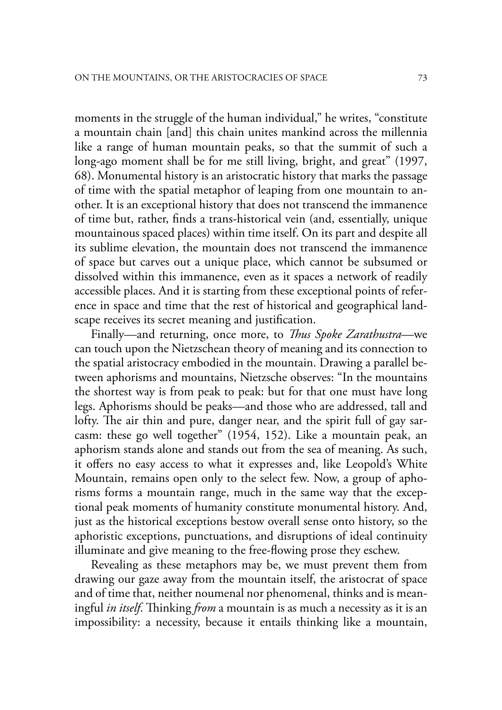moments in the struggle of the human individual," he writes, "constitute a mountain chain [and] this chain unites mankind across the millennia like a range of human mountain peaks, so that the summit of such a long-ago moment shall be for me still living, bright, and great" (1997, 68). Monumental history is an aristocratic history that marks the passage of time with the spatial metaphor of leaping from one mountain to another. It is an exceptional history that does not transcend the immanence of time but, rather, finds a trans-historical vein (and, essentially, unique mountainous spaced places) within time itself. On its part and despite all its sublime elevation, the mountain does not transcend the immanence of space but carves out a unique place, which cannot be subsumed or dissolved within this immanence, even as it spaces a network of readily accessible places. And it is starting from these exceptional points of reference in space and time that the rest of historical and geographical landscape receives its secret meaning and justification.

Finally—and returning, once more, to *Thus Spoke Zarathustra*—we can touch upon the Nietzschean theory of meaning and its connection to the spatial aristocracy embodied in the mountain. Drawing a parallel between aphorisms and mountains, Nietzsche observes: "In the mountains the shortest way is from peak to peak: but for that one must have long legs. Aphorisms should be peaks—and those who are addressed, tall and lofty. The air thin and pure, danger near, and the spirit full of gay sarcasm: these go well together" (1954, 152). Like a mountain peak, an aphorism stands alone and stands out from the sea of meaning. As such, it offers no easy access to what it expresses and, like Leopold's White Mountain, remains open only to the select few. Now, a group of aphorisms forms a mountain range, much in the same way that the exceptional peak moments of humanity constitute monumental history. And, just as the historical exceptions bestow overall sense onto history, so the aphoristic exceptions, punctuations, and disruptions of ideal continuity illuminate and give meaning to the free-flowing prose they eschew.

Revealing as these metaphors may be, we must prevent them from drawing our gaze away from the mountain itself, the aristocrat of space and of time that, neither noumenal nor phenomenal, thinks and is meaningful *in itself*. Thinking *from* a mountain is as much a necessity as it is an impossibility: a necessity, because it entails thinking like a mountain,